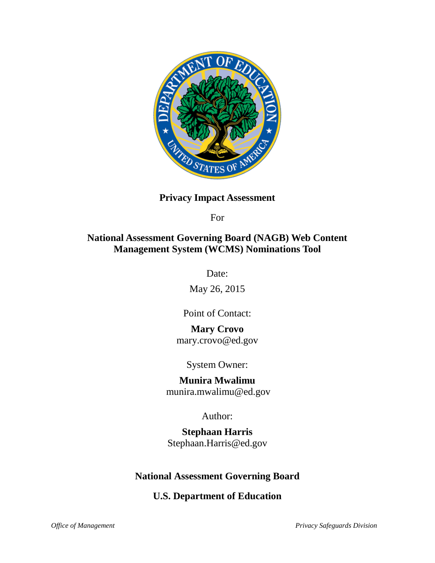

## **Privacy Impact Assessment**

For

# **National Assessment Governing Board (NAGB) Web Content Management System (WCMS) Nominations Tool**

Date:

May 26, 2015

Point of Contact:

# **Mary Crovo**

mary.crovo@ed.gov

System Owner:

# **Munira Mwalimu**

munira.mwalimu@ed.gov

Author:

**Stephaan Harris** Stephaan.Harris@ed.gov

# **National Assessment Governing Board**

**U.S. Department of Education**

*Office of Management Privacy Safeguards Division*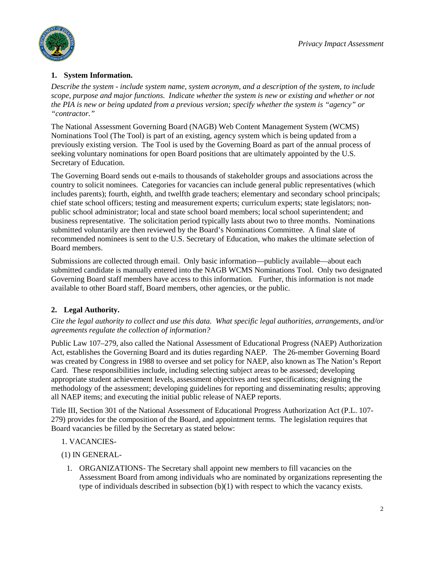

## **1. System Information.**

*Describe the system - include system name, system acronym, and a description of the system, to include scope, purpose and major functions. Indicate whether the system is new or existing and whether or not the PIA is new or being updated from a previous version; specify whether the system is "agency" or "contractor."*

The National Assessment Governing Board (NAGB) Web Content Management System (WCMS) Nominations Tool (The Tool) is part of an existing, agency system which is being updated from a previously existing version. The Tool is used by the Governing Board as part of the annual process of seeking voluntary nominations for open Board positions that are ultimately appointed by the U.S. Secretary of Education.

The Governing Board sends out e-mails to thousands of stakeholder groups and associations across the country to solicit nominees. Categories for vacancies can include general public representatives (which includes parents); fourth, eighth, and twelfth grade teachers; elementary and secondary school principals; chief state school officers; testing and measurement experts; curriculum experts; state legislators; nonpublic school administrator; local and state school board members; local school superintendent; and business representative. The solicitation period typically lasts about two to three months. Nominations submitted voluntarily are then reviewed by the Board's Nominations Committee. A final slate of recommended nominees is sent to the U.S. Secretary of Education, who makes the ultimate selection of Board members.

Submissions are collected through email. Only basic information—publicly available—about each submitted candidate is manually entered into the NAGB WCMS Nominations Tool. Only two designated Governing Board staff members have access to this information. Further, this information is not made available to other Board staff, Board members, other agencies, or the public.

## **2. Legal Authority.**

*Cite the legal authority to collect and use this data. What specific legal authorities, arrangements, and/or agreements regulate the collection of information?*

[Public Law 107–279,](http://www.nagb.org/naep/naep-law.html) also called the National Assessment of Educational Progress (NAEP) Authorization Act, establishes the Governing Board and its duties regarding NAEP. The 26-member Governing Board was created by Congress in 1988 to oversee and set policy for NAEP, also known as The Nation's Report Card. These responsibilities include, including selecting subject areas to be assessed; developing appropriate student achievement levels, assessment objectives and test specifications; designing the methodology of the assessment; developing guidelines for reporting and disseminating results; approving all NAEP items; and executing the initial public release of NAEP reports.

Title III, Section 301 of the National Assessment of Educational Progress Authorization Act (P.L. 107- 279) provides for the composition of the Board, and appointment terms. The legislation requires that Board vacancies be filled by the Secretary as stated below:

- 1. VACANCIES-
- (1) IN GENERAL-
	- 1. ORGANIZATIONS- The Secretary shall appoint new members to fill vacancies on the Assessment Board from among individuals who are nominated by organizations representing the type of individuals described in subsection  $(b)(1)$  with respect to which the vacancy exists.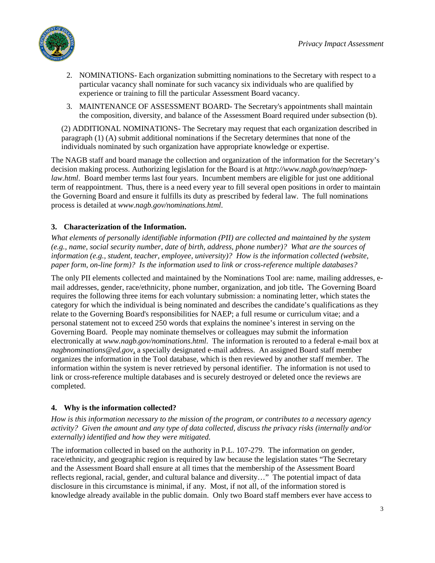

- 2. NOMINATIONS- Each organization submitting nominations to the Secretary with respect to a particular vacancy shall nominate for such vacancy six individuals who are qualified by experience or training to fill the particular Assessment Board vacancy.
- 3. MAINTENANCE OF ASSESSMENT BOARD- The Secretary's appointments shall maintain the composition, diversity, and balance of the Assessment Board required under subsection (b).

(2) ADDITIONAL NOMINATIONS- The Secretary may request that each organization described in paragraph (1) (A) submit additional nominations if the Secretary determines that none of the individuals nominated by such organization have appropriate knowledge or expertise.

The NAGB staff and board manage the collection and organization of the information for the Secretary's decision making process. Authorizing legislation for the Board is at *[http://www.nagb.gov/naep/naep](http://www.nagb.gov/naep/naep-law.html)[law.html](http://www.nagb.gov/naep/naep-law.html).* Board member terms last four years. Incumbent members are eligible for just one additional term of reappointment. Thus, there is a need every year to fill several open positions in order to maintain the Governing Board and ensure it fulfills its duty as prescribed by federal law. The full nominations process is detailed at *[www.nagb.gov/nominations.html](http://www.nagb.gov/nominations.html)*.

## **3. Characterization of the Information.**

*What elements of personally identifiable information (PII) are collected and maintained by the system (e.g., name, social security number, date of birth, address, phone number)? What are the sources of information (e.g., student, teacher, employee, university)? How is the information collected (website, paper form, on-line form)? Is the information used to link or cross-reference multiple databases?*

The only PII elements collected and maintained by the Nominations Tool are: name, mailing addresses, email addresses, gender, race/ethnicity, phone number, organization, and job title**.** The Governing Board requires the following three items for each voluntary submission: a nominating letter, which states the category for which the individual is being nominated and describes the candidate's qualifications as they relate to the Governing Board's responsibilities for NAEP; a full resume or curriculum vitae; and a personal statement not to exceed 250 words that explains the nominee's interest in serving on the Governing Board. People may nominate themselves or colleagues may submit the information electronically at *[www.nagb.gov/nominations.html](http://www.nagb.gov/nominations.html)*. The information is rerouted to a federal e-mail box at *[nagbnominations@ed.gov](mailto:nagbnominations@ed.gov)*, a specially designated e-mail address. An assigned Board staff member organizes the information in the Tool database, which is then reviewed by another staff member. The information within the system is never retrieved by personal identifier. The information is not used to link or cross-reference multiple databases and is securely destroyed or deleted once the reviews are completed.

### **4. Why is the information collected?**

*How is this information necessary to the mission of the program, or contributes to a necessary agency activity? Given the amount and any type of data collected, discuss the privacy risks (internally and/or externally) identified and how they were mitigated.*

The information collected in based on the authority in P.L. 107-279. The information on gender, race/ethnicity, and geographic region is required by law because the legislation states "The Secretary and the Assessment Board shall ensure at all times that the membership of the Assessment Board reflects regional, racial, gender, and cultural balance and diversity…" The potential impact of data disclosure in this circumstance is minimal, if any. Most, if not all, of the information stored is knowledge already available in the public domain. Only two Board staff members ever have access to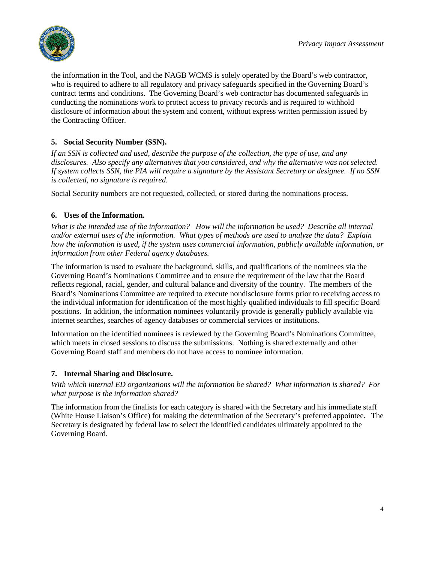

the information in the Tool, and the NAGB WCMS is solely operated by the Board's web contractor, who is required to adhere to all regulatory and privacy safeguards specified in the Governing Board's contract terms and conditions. The Governing Board's web contractor has documented safeguards in conducting the nominations work to protect access to privacy records and is required to withhold disclosure of information about the system and content, without express written permission issued by the Contracting Officer.

## **5. Social Security Number (SSN).**

*If an SSN is collected and used, describe the purpose of the collection, the type of use, and any disclosures. Also specify any alternatives that you considered, and why the alternative was not selected. If system collects SSN, the PIA will require a signature by the Assistant Secretary or designee. If no SSN is collected, no signature is required.*

Social Security numbers are not requested, collected, or stored during the nominations process.

### **6. Uses of the Information.**

*What is the intended use of the information? How will the information be used? Describe all internal and/or external uses of the information. What types of methods are used to analyze the data? Explain how the information is used, if the system uses commercial information, publicly available information, or information from other Federal agency databases.*

The information is used to evaluate the background, skills, and qualifications of the nominees via the Governing Board's Nominations Committee and to ensure the requirement of the law that the Board reflects regional, racial, gender, and cultural balance and diversity of the country. The members of the Board's Nominations Committee are required to execute nondisclosure forms prior to receiving access to the individual information for identification of the most highly qualified individuals to fill specific Board positions. In addition, the information nominees voluntarily provide is generally publicly available via internet searches, searches of agency databases or commercial services or institutions.

Information on the identified nominees is reviewed by the Governing Board's Nominations Committee, which meets in closed sessions to discuss the submissions. Nothing is shared externally and other Governing Board staff and members do not have access to nominee information.

### **7. Internal Sharing and Disclosure.**

*With which internal ED organizations will the information be shared? What information is shared? For what purpose is the information shared?*

The information from the finalists for each category is shared with the Secretary and his immediate staff (White House Liaison's Office) for making the determination of the Secretary's preferred appointee. The Secretary is designated by federal law to select the identified candidates ultimately appointed to the Governing Board.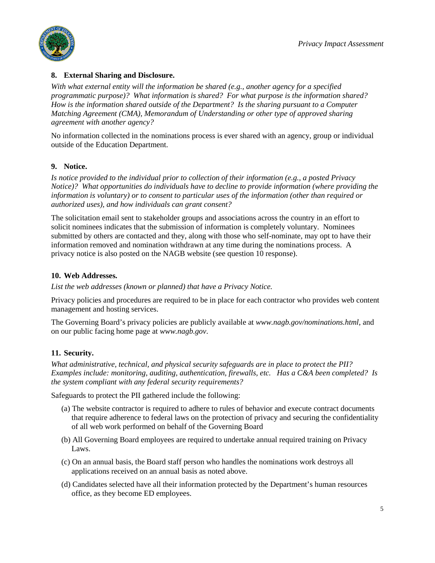

### **8. External Sharing and Disclosure.**

*With what external entity will the information be shared (e.g., another agency for a specified programmatic purpose)? What information is shared? For what purpose is the information shared? How is the information shared outside of the Department? Is the sharing pursuant to a Computer Matching Agreement (CMA), Memorandum of Understanding or other type of approved sharing agreement with another agency?*

No information collected in the nominations process is ever shared with an agency, group or individual outside of the Education Department.

### **9. Notice.**

*Is notice provided to the individual prior to collection of their information (e.g., a posted Privacy Notice)? What opportunities do individuals have to decline to provide information (where providing the information is voluntary) or to consent to particular uses of the information (other than required or authorized uses), and how individuals can grant consent?* 

The solicitation email sent to stakeholder groups and associations across the country in an effort to solicit nominees indicates that the submission of information is completely voluntary. Nominees submitted by others are contacted and they, along with those who self-nominate, may opt to have their information removed and nomination withdrawn at any time during the nominations process. A privacy notice is also posted on the NAGB website (see question 10 response).

### **10. Web Addresses.**

*List the web addresses (known or planned) that have a Privacy Notice.*

Privacy policies and procedures are required to be in place for each contractor who provides web content management and hosting services.

The Governing Board's privacy policies are publicly available at *www.nagb.gov/nominations.html*, and on our public facing home page at *www.nagb.gov*.

## **11. Security.**

*What administrative, technical, and physical security safeguards are in place to protect the PII? Examples include: monitoring, auditing, authentication, firewalls, etc. Has a C&A been completed? Is the system compliant with any federal security requirements?* 

Safeguards to protect the PII gathered include the following:

- (a) The website contractor is required to adhere to rules of behavior and execute contract documents that require adherence to federal laws on the protection of privacy and securing the confidentiality of all web work performed on behalf of the Governing Board
- (b) All Governing Board employees are required to undertake annual required training on Privacy Laws.
- (c) On an annual basis, the Board staff person who handles the nominations work destroys all applications received on an annual basis as noted above.
- (d) Candidates selected have all their information protected by the Department's human resources office, as they become ED employees.